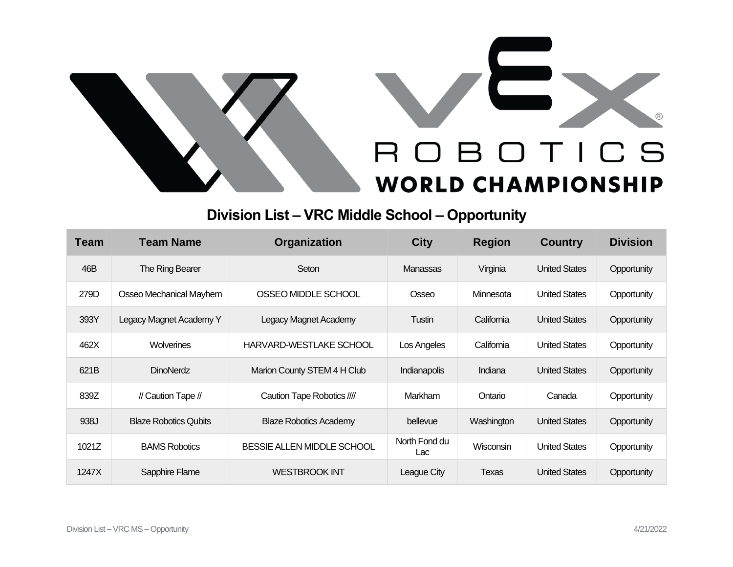



## **Division List – VRC Middle School – Opportunity**

| <b>Team</b> | <b>Team Name</b>             | Organization                  | <b>City</b>          | <b>Region</b> | <b>Country</b>       | <b>Division</b> |
|-------------|------------------------------|-------------------------------|----------------------|---------------|----------------------|-----------------|
| 46B         | The Ring Bearer              | Seton                         | Manassas             | Virginia      | <b>United States</b> | Opportunity     |
| 279D        | Osseo Mechanical Mayhem      | OSSEO MIDDLE SCHOOL           | Osseo                | Minnesota     | <b>United States</b> | Opportunity     |
| 393Y        | Legacy Magnet Academy Y      | <b>Legacy Magnet Academy</b>  | Tustin               | California    | <b>United States</b> | Opportunity     |
| 462X        | <b>Wolverines</b>            | HARVARD-WESTLAKE SCHOOL       | Los Angeles          | California    | <b>United States</b> | Opportunity     |
| 621B        | <b>DinoNerdz</b>             | Marion County STEM 4 H Club   | <b>Indianapolis</b>  | Indiana       | <b>United States</b> | Opportunity     |
| 839Z        | // Caution Tape //           | Caution Tape Robotics ////    | Markham              | Ontario       | Canada               | Opportunity     |
| 938J        | <b>Blaze Robotics Qubits</b> | <b>Blaze Robotics Academy</b> | bellevue             | Washington    | <b>United States</b> | Opportunity     |
| 1021Z       | <b>BAMS Robotics</b>         | BESSIE ALLEN MIDDLE SCHOOL    | North Fond du<br>Lac | Wisconsin     | <b>United States</b> | Opportunity     |
| 1247X       | Sapphire Flame               | <b>WESTBROOK INT</b>          | League City          | Texas         | <b>United States</b> | Opportunity     |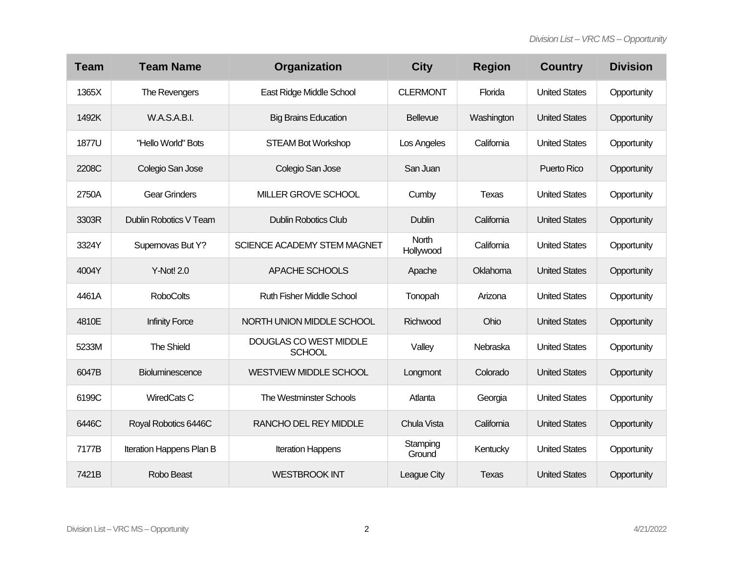| <b>Team</b> | <b>Team Name</b>         | Organization                            | <b>City</b>        | <b>Region</b> | <b>Country</b>       | <b>Division</b> |
|-------------|--------------------------|-----------------------------------------|--------------------|---------------|----------------------|-----------------|
| 1365X       | The Revengers            | East Ridge Middle School                | <b>CLERMONT</b>    | Florida       | <b>United States</b> | Opportunity     |
| 1492K       | <b>W.A.S.A.B.I.</b>      | <b>Big Brains Education</b>             | <b>Bellevue</b>    | Washington    | <b>United States</b> | Opportunity     |
| 1877U       | "Hello World" Bots       | <b>STEAM Bot Workshop</b>               | Los Angeles        | California    | <b>United States</b> | Opportunity     |
| 2208C       | Colegio San Jose         | Colegio San Jose                        | San Juan           |               | Puerto Rico          | Opportunity     |
| 2750A       | <b>Gear Grinders</b>     | MILLER GROVE SCHOOL                     | Cumby              | <b>Texas</b>  | <b>United States</b> | Opportunity     |
| 3303R       | Dublin Robotics V Team   | <b>Dublin Robotics Club</b>             | Dublin             | California    | <b>United States</b> | Opportunity     |
| 3324Y       | Supernovas But Y?        | SCIENCE ACADEMY STEM MAGNET             | North<br>Hollywood | California    | <b>United States</b> | Opportunity     |
| 4004Y       | Y-Not! 2.0               | APACHE SCHOOLS                          | Apache             | Oklahoma      | <b>United States</b> | Opportunity     |
| 4461A       | <b>RoboColts</b>         | <b>Ruth Fisher Middle School</b>        | Tonopah            | Arizona       | <b>United States</b> | Opportunity     |
| 4810E       | <b>Infinity Force</b>    | NORTH UNION MIDDLE SCHOOL               | Richwood           | Ohio          | <b>United States</b> | Opportunity     |
| 5233M       | The Shield               | DOUGLAS CO WEST MIDDLE<br><b>SCHOOL</b> | Valley             | Nebraska      | <b>United States</b> | Opportunity     |
| 6047B       | <b>Bioluminescence</b>   | <b>WESTVIEW MIDDLE SCHOOL</b>           | Longmont           | Colorado      | <b>United States</b> | Opportunity     |
| 6199C       | WiredCats C              | <b>The Westminster Schools</b>          | Atlanta            | Georgia       | <b>United States</b> | Opportunity     |
| 6446C       | Royal Robotics 6446C     | RANCHO DEL REY MIDDLE                   | Chula Vista        | California    | <b>United States</b> | Opportunity     |
| 7177B       | Iteration Happens Plan B | <b>Iteration Happens</b>                | Stamping<br>Ground | Kentucky      | <b>United States</b> | Opportunity     |
| 7421B       | Robo Beast               | <b>WESTBROOK INT</b>                    | League City        | <b>Texas</b>  | <b>United States</b> | Opportunity     |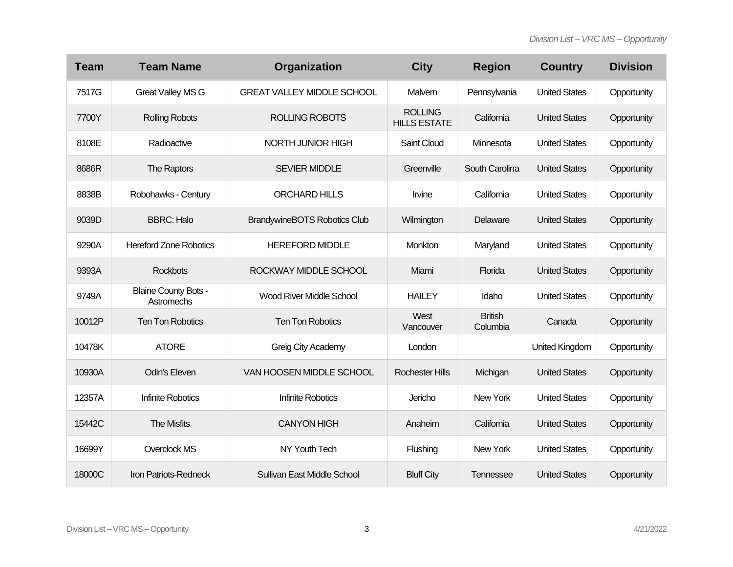| <b>Team</b> | <b>Team Name</b>                          | Organization                        | <b>City</b>                           | <b>Region</b>              | <b>Country</b>       | <b>Division</b> |
|-------------|-------------------------------------------|-------------------------------------|---------------------------------------|----------------------------|----------------------|-----------------|
| 7517G       | <b>Great Valley MS G</b>                  | <b>GREAT VALLEY MIDDLE SCHOOL</b>   | Malvern                               | Pennsylvania               | <b>United States</b> | Opportunity     |
| 7700Y       | <b>Rolling Robots</b>                     | <b>ROLLING ROBOTS</b>               | <b>ROLLING</b><br><b>HILLS ESTATE</b> | California                 | <b>United States</b> | Opportunity     |
| 8108E       | Radioactive                               | NORTH JUNIOR HIGH                   | Saint Cloud                           | Minnesota                  | <b>United States</b> | Opportunity     |
| 8686R       | The Raptors                               | <b>SEVIER MIDDLE</b>                | Greenville                            | South Carolina             | <b>United States</b> | Opportunity     |
| 8838B       | Robohawks - Century                       | <b>ORCHARD HILLS</b>                | Irvine                                | California                 | <b>United States</b> | Opportunity     |
| 9039D       | <b>BBRC: Halo</b>                         | <b>BrandywineBOTS Robotics Club</b> | Wilmington                            | Delaware                   | <b>United States</b> | Opportunity     |
| 9290A       | <b>Hereford Zone Robotics</b>             | <b>HEREFORD MIDDLE</b>              | Monkton                               | Maryland                   | <b>United States</b> | Opportunity     |
| 9393A       | <b>Rockbots</b>                           | ROCKWAY MIDDLE SCHOOL               | Miami                                 | Florida                    | <b>United States</b> | Opportunity     |
| 9749A       | <b>Blaine County Bots -</b><br>Astromechs | <b>Wood River Middle School</b>     | <b>HAILEY</b>                         | Idaho                      | <b>United States</b> | Opportunity     |
| 10012P      | <b>Ten Ton Robotics</b>                   | <b>Ten Ton Robotics</b>             | West<br>Vancouver                     | <b>British</b><br>Columbia | Canada               | Opportunity     |
| 10478K      | <b>ATORE</b>                              | Greig City Academy                  | London                                |                            | United Kingdom       | Opportunity     |
| 10930A      | Odin's Eleven                             | VAN HOOSEN MIDDLE SCHOOL            | <b>Rochester Hills</b>                | Michigan                   | <b>United States</b> | Opportunity     |
| 12357A      | <b>Infinite Robotics</b>                  | <b>Infinite Robotics</b>            | Jericho                               | New York                   | <b>United States</b> | Opportunity     |
| 15442C      | <b>The Misfits</b>                        | <b>CANYON HIGH</b>                  | Anaheim                               | California                 | <b>United States</b> | Opportunity     |
| 16699Y      | Overclock MS                              | NY Youth Tech                       | Flushing                              | New York                   | <b>United States</b> | Opportunity     |
| 18000C      | Iron Patriots-Redneck                     | Sullivan East Middle School         | <b>Bluff City</b>                     | Tennessee                  | <b>United States</b> | Opportunity     |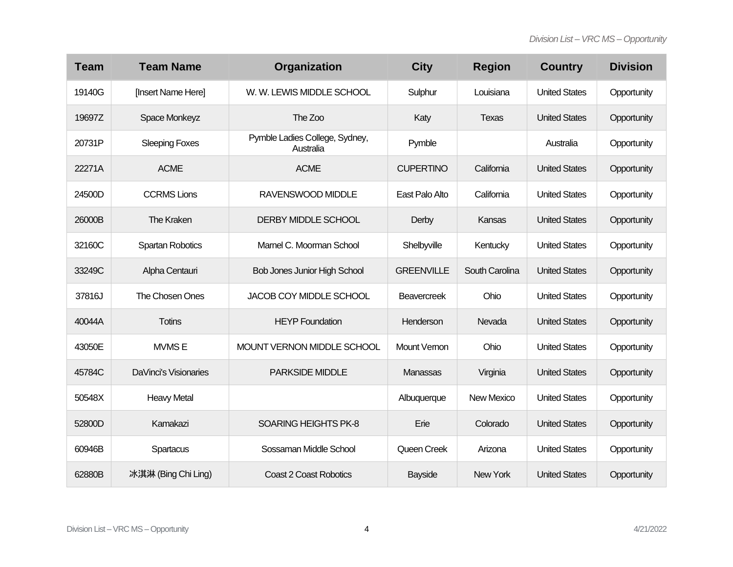| <b>Team</b> | <b>Team Name</b>      | Organization                                | <b>City</b>       | <b>Region</b>     | <b>Country</b>       | <b>Division</b> |
|-------------|-----------------------|---------------------------------------------|-------------------|-------------------|----------------------|-----------------|
| 19140G      | [Insert Name Here]    | W. W. LEWIS MIDDLE SCHOOL                   | Sulphur           | Louisiana         | <b>United States</b> | Opportunity     |
| 19697Z      | Space Monkeyz         | The Zoo                                     | Katy              | <b>Texas</b>      | <b>United States</b> | Opportunity     |
| 20731P      | <b>Sleeping Foxes</b> | Pymble Ladies College, Sydney,<br>Australia | Pymble            |                   | Australia            | Opportunity     |
| 22271A      | <b>ACME</b>           | <b>ACME</b>                                 | <b>CUPERTINO</b>  | California        | <b>United States</b> | Opportunity     |
| 24500D      | <b>CCRMS Lions</b>    | RAVENSWOOD MIDDLE                           | East Palo Alto    | California        | <b>United States</b> | Opportunity     |
| 26000B      | The Kraken            | DERBY MIDDLE SCHOOL                         | Derby             | Kansas            | <b>United States</b> | Opportunity     |
| 32160C      | Spartan Robotics      | Marnel C. Moorman School                    | Shelbyville       | Kentucky          | <b>United States</b> | Opportunity     |
| 33249C      | Alpha Centauri        | <b>Bob Jones Junior High School</b>         | <b>GREENVILLE</b> | South Carolina    | <b>United States</b> | Opportunity     |
| 37816J      | The Chosen Ones       | JACOB COY MIDDLE SCHOOL                     | Beavercreek       | Ohio              | <b>United States</b> | Opportunity     |
| 40044A      | <b>Totins</b>         | <b>HEYP Foundation</b>                      | Henderson         | Nevada            | <b>United States</b> | Opportunity     |
| 43050E      | <b>MVMSE</b>          | MOUNT VERNON MIDDLE SCHOOL                  | Mount Vernon      | Ohio              | <b>United States</b> | Opportunity     |
| 45784C      | DaVinci's Visionaries | <b>PARKSIDE MIDDLE</b>                      | Manassas          | Virginia          | <b>United States</b> | Opportunity     |
| 50548X      | <b>Heavy Metal</b>    |                                             | Albuquerque       | <b>New Mexico</b> | <b>United States</b> | Opportunity     |
| 52800D      | Kamakazi              | <b>SOARING HEIGHTS PK-8</b>                 | Erie              | Colorado          | <b>United States</b> | Opportunity     |
| 60946B      | Spartacus             | Sossaman Middle School                      | Queen Creek       | Arizona           | <b>United States</b> | Opportunity     |
| 62880B      | 冰淇淋 (Bing Chi Ling)   | <b>Coast 2 Coast Robotics</b>               | <b>Bayside</b>    | New York          | <b>United States</b> | Opportunity     |